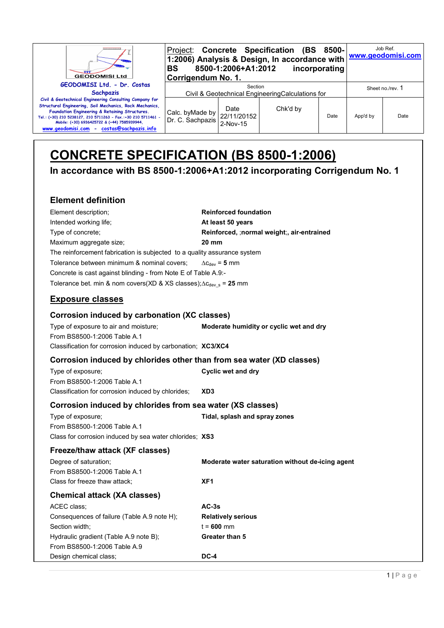| ,,,,,,,,,,,,,,,,<br><b>GEODOMISI Ltd</b>                                                                                                                                                                                                                                                                                           | BS<br>Corrigendum No. 1.            | 8500-1:2006+A1:2012                                          | Project: Concrete Specification (BS 8500-<br>1:2006) Analysis & Design, In accordance with <u>www.geodomisi.com</u> | incorporating |          | Job Ref.         |  |
|------------------------------------------------------------------------------------------------------------------------------------------------------------------------------------------------------------------------------------------------------------------------------------------------------------------------------------|-------------------------------------|--------------------------------------------------------------|---------------------------------------------------------------------------------------------------------------------|---------------|----------|------------------|--|
| GEODOMISI Ltd. - Dr. Costas<br><b>Sachpazis</b>                                                                                                                                                                                                                                                                                    |                                     | Section<br>Civil & Geotechnical Engineering Calculations for |                                                                                                                     |               |          | Sheet no./rev. 1 |  |
| Civil & Geotechnical Engineering Consulting Company for<br>Structural Engineering, Soil Mechanics, Rock Mechanics,<br>Foundation Engineering & Retaining Structures.<br>Tel.: (+30) 210 5238127, 210 5711263 - Fax.:+30 210 5711461 -<br>Mobile: (+30) 6936425722 & (+44) 7585939944,<br>www.geodomisi.com - costas@sachpazis.info | Calc. byMade by<br>Dr. C. Sachpazis | Date<br>22/11/20152<br>$2-Nov-15$                            | Chk'd by                                                                                                            | Date          | App'd by | Date             |  |

# **CONCRETE SPECIFICATION (BS 8500-1:2006)**

**In accordance with BS 8500-1:2006+A1:2012 incorporating Corrigendum No. 1** 

## **Element definition**

| Element description:                                                         | <b>Reinforced foundation</b>               |
|------------------------------------------------------------------------------|--------------------------------------------|
| Intended working life;                                                       | At least 50 years                          |
| Type of concrete;                                                            | Reinforced, :normal weight:, air-entrained |
| Maximum aggregate size;                                                      | 20 mm                                      |
| The reinforcement fabrication is subjected to a quality assurance system     |                                            |
| Tolerance between minimum & nominal covers;                                  | $\Delta c_{\text{dev}}$ = 5 mm             |
| Concrete is cast against blinding - from Note E of Table A.9:-               |                                            |
| Tolerance bet. min & nom covers(XD & XS classes); $\Delta c_{dev}$ s = 25 mm |                                            |

## **Exposure classes**

| Corrosion induced by carbonation (XC classes)                |                                         |
|--------------------------------------------------------------|-----------------------------------------|
| Type of exposure to air and moisture:                        | Moderate humidity or cyclic wet and dry |
| From BS8500-1:2006 Table A.1                                 |                                         |
| Classification for corrosion induced by carbonation; XC3/XC4 |                                         |

#### **Corrosion induced by chlorides other than from sea water (XD classes)**

| Type of exposure;                                  | Cyclic wet and dry |
|----------------------------------------------------|--------------------|
| From BS8500-1:2006 Table A.1                       |                    |
| Classification for corrosion induced by chlorides; | XD3                |

### **Corrosion induced by chlorides from sea water (XS classes)**

Type of exposure; **Tidal, splash and spray zones** From BS8500-1:2006 Table A.1 Class for corrosion induced by sea water chlorides; **XS3**

| Freeze/thaw attack (XF classes)             |                                                  |
|---------------------------------------------|--------------------------------------------------|
| Degree of saturation:                       | Moderate water saturation without de-icing agent |
| From BS8500-1:2006 Table A.1                |                                                  |
| Class for freeze thaw attack:               | XF <sub>1</sub>                                  |
| <b>Chemical attack (XA classes)</b>         |                                                  |
| ACEC class:                                 | $AC-3s$                                          |
| Consequences of failure (Table A.9 note H); | <b>Relatively serious</b>                        |
| Section width:                              | $t = 600$ mm                                     |
| Hydraulic gradient (Table A.9 note B);      | Greater than 5                                   |
| From BS8500-1:2006 Table A.9                |                                                  |
| Design chemical class:                      | DC-4                                             |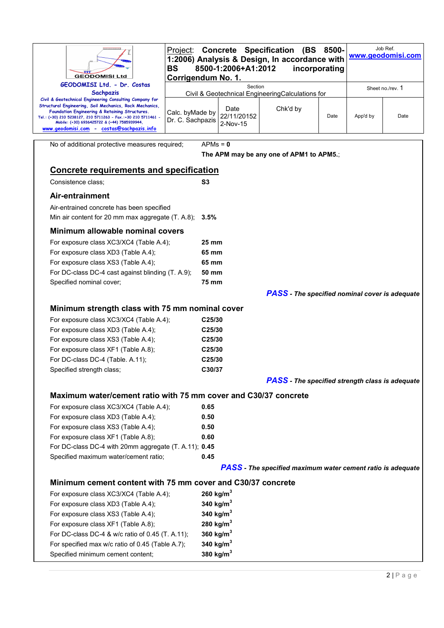| <b>GEODOMISI Ltd</b>                                                                                                                                                                                                                                                                                                               | Project:<br><b>BS</b><br>Corrigendum No. 1.                 | 8500-1:2006+A1:2012             | <b>Concrete Specification (BS</b><br>1:2006) Analysis & Design, In accordance with | 8500-<br>incorporating |          | Job Ref.<br>www.geodomisi.com |  |
|------------------------------------------------------------------------------------------------------------------------------------------------------------------------------------------------------------------------------------------------------------------------------------------------------------------------------------|-------------------------------------------------------------|---------------------------------|------------------------------------------------------------------------------------|------------------------|----------|-------------------------------|--|
| GEODOMISI Ltd. - Dr. Costas<br><b>Sachpazis</b>                                                                                                                                                                                                                                                                                    | Section<br>Civil & Geotechnical EngineeringCalculations for |                                 |                                                                                    | Sheet no./rev. 1       |          |                               |  |
| Civil & Geotechnical Engineering Consulting Company for<br>Structural Engineering, Soil Mechanics, Rock Mechanics,<br>Foundation Engineering & Retaining Structures.<br>Tel.: (+30) 210 5238127, 210 5711263 - Fax.:+30 210 5711461 -<br>Mobile: (+30) 6936425722 & (+44) 7585939944,<br>www.geodomisi.com - costas@sachpazis.info | Calc. byMade by<br>Dr. C. Sachpazis                         | Date<br>22/11/20152<br>2-Nov-15 | Chk'd by                                                                           | Date                   | App'd by | Date                          |  |
| No of additional protective measures required;                                                                                                                                                                                                                                                                                     | $APMs = 0$                                                  |                                 |                                                                                    |                        |          |                               |  |
|                                                                                                                                                                                                                                                                                                                                    |                                                             |                                 | The APM may be any one of APM1 to APM5.;                                           |                        |          |                               |  |
| <b>Concrete requirements and specification</b>                                                                                                                                                                                                                                                                                     |                                                             |                                 |                                                                                    |                        |          |                               |  |
| Consistence class;                                                                                                                                                                                                                                                                                                                 | S <sub>3</sub>                                              |                                 |                                                                                    |                        |          |                               |  |
| Air-entrainment                                                                                                                                                                                                                                                                                                                    |                                                             |                                 |                                                                                    |                        |          |                               |  |
| Air-entrained concrete has been specified                                                                                                                                                                                                                                                                                          |                                                             |                                 |                                                                                    |                        |          |                               |  |
| Min air content for 20 mm max aggregate (T. A.8); 3.5%                                                                                                                                                                                                                                                                             |                                                             |                                 |                                                                                    |                        |          |                               |  |
| Minimum allowable nominal covers                                                                                                                                                                                                                                                                                                   |                                                             |                                 |                                                                                    |                        |          |                               |  |
| For exposure class XC3/XC4 (Table A.4);                                                                                                                                                                                                                                                                                            | 25 mm                                                       |                                 |                                                                                    |                        |          |                               |  |
| For exposure class XD3 (Table A.4);                                                                                                                                                                                                                                                                                                | 65 mm                                                       |                                 |                                                                                    |                        |          |                               |  |
| For exposure class XS3 (Table A.4);                                                                                                                                                                                                                                                                                                | 65 mm                                                       |                                 |                                                                                    |                        |          |                               |  |
| For DC-class DC-4 cast against blinding (T. A.9);                                                                                                                                                                                                                                                                                  |                                                             | 50 mm                           |                                                                                    |                        |          |                               |  |
| Specified nominal cover;                                                                                                                                                                                                                                                                                                           | <b>75 mm</b>                                                |                                 |                                                                                    |                        |          |                               |  |
|                                                                                                                                                                                                                                                                                                                                    |                                                             |                                 | <b>PASS</b> - The specified nominal cover is adequate                              |                        |          |                               |  |
| Minimum strength class with 75 mm nominal cover                                                                                                                                                                                                                                                                                    |                                                             |                                 |                                                                                    |                        |          |                               |  |
| For exposure class XC3/XC4 (Table A.4);                                                                                                                                                                                                                                                                                            | C25/30                                                      |                                 |                                                                                    |                        |          |                               |  |
| For exposure class XD3 (Table A.4);                                                                                                                                                                                                                                                                                                | C25/30                                                      |                                 |                                                                                    |                        |          |                               |  |
| For exposure class XS3 (Table A.4);                                                                                                                                                                                                                                                                                                | C25/30                                                      |                                 |                                                                                    |                        |          |                               |  |
| For exposure class XF1 (Table A.8);                                                                                                                                                                                                                                                                                                | C25/30                                                      |                                 |                                                                                    |                        |          |                               |  |
| For DC-class DC-4 (Table. A.11);<br>Specified strength class;                                                                                                                                                                                                                                                                      | C25/30<br>C30/37                                            |                                 |                                                                                    |                        |          |                               |  |
|                                                                                                                                                                                                                                                                                                                                    |                                                             |                                 | <b>PASS</b> - The specified strength class is adequate                             |                        |          |                               |  |
|                                                                                                                                                                                                                                                                                                                                    |                                                             |                                 |                                                                                    |                        |          |                               |  |
| Maximum water/cement ratio with 75 mm cover and C30/37 concrete                                                                                                                                                                                                                                                                    |                                                             |                                 |                                                                                    |                        |          |                               |  |
| For exposure class XC3/XC4 (Table A.4);<br>For exposure class XD3 (Table A.4);                                                                                                                                                                                                                                                     | 0.65<br>0.50                                                |                                 |                                                                                    |                        |          |                               |  |
| For exposure class XS3 (Table A.4);                                                                                                                                                                                                                                                                                                | 0.50                                                        |                                 |                                                                                    |                        |          |                               |  |
| For exposure class XF1 (Table A.8);                                                                                                                                                                                                                                                                                                | 0.60                                                        |                                 |                                                                                    |                        |          |                               |  |
| For DC-class DC-4 with 20mm aggregate (T. A.11); 0.45                                                                                                                                                                                                                                                                              |                                                             |                                 |                                                                                    |                        |          |                               |  |
| Specified maximum water/cement ratio;                                                                                                                                                                                                                                                                                              | 0.45                                                        |                                 |                                                                                    |                        |          |                               |  |
| <b>PASS</b> - The specified maximum water cement ratio is adequate                                                                                                                                                                                                                                                                 |                                                             |                                 |                                                                                    |                        |          |                               |  |
| Minimum cement content with 75 mm cover and C30/37 concrete                                                                                                                                                                                                                                                                        |                                                             |                                 |                                                                                    |                        |          |                               |  |
| For exposure class XC3/XC4 (Table A.4);                                                                                                                                                                                                                                                                                            | 260 kg/m <sup>3</sup>                                       |                                 |                                                                                    |                        |          |                               |  |
| For exposure class XD3 (Table A.4);                                                                                                                                                                                                                                                                                                | 340 kg/m <sup>3</sup>                                       |                                 |                                                                                    |                        |          |                               |  |
| For exposure class XS3 (Table A.4);                                                                                                                                                                                                                                                                                                | 340 kg/m <sup>3</sup>                                       |                                 |                                                                                    |                        |          |                               |  |
| For exposure class XF1 (Table A.8);                                                                                                                                                                                                                                                                                                | 280 kg/m $^3$                                               |                                 |                                                                                    |                        |          |                               |  |
| For DC-class DC-4 & w/c ratio of 0.45 (T. A.11);<br>For specified max w/c ratio of 0.45 (Table A.7);                                                                                                                                                                                                                               | 360 $kg/m3$<br>340 kg/ $m3$                                 |                                 |                                                                                    |                        |          |                               |  |
| Specified minimum cement content;                                                                                                                                                                                                                                                                                                  | 380 kg/ $m3$                                                |                                 |                                                                                    |                        |          |                               |  |